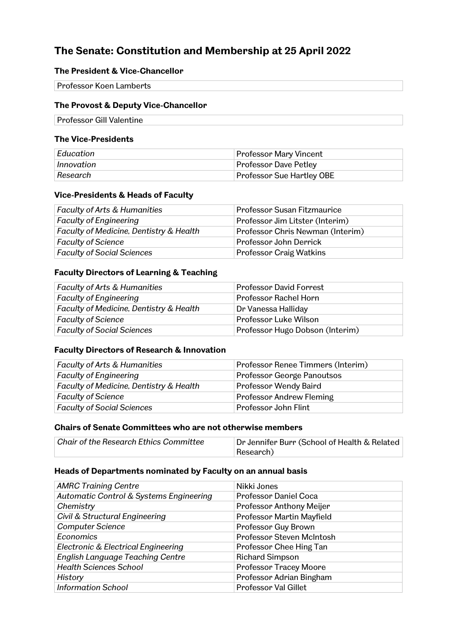# **The Senate: Constitution and Membership at 25 April 2022**

### **The President & Vice-Chancellor**

| <b>Professor Koen Lamberts</b> |  |
|--------------------------------|--|

#### **The Provost & Deputy Vice-Chancellor**

Professor Gill Valentine

#### **The Vice-Presidents**

| Education  | <b>Professor Mary Vincent</b> |
|------------|-------------------------------|
| Innovation | <b>Professor Dave Petley</b>  |
| ' Research | Professor Sue Hartley OBE     |

#### **Vice-Presidents & Heads of Faculty**

| <b>Faculty of Arts &amp; Humanities</b> | Professor Susan Fitzmaurice      |
|-----------------------------------------|----------------------------------|
| <b>Faculty of Engineering</b>           | Professor Jim Litster (Interim)  |
| Faculty of Medicine, Dentistry & Health | Professor Chris Newman (Interim) |
| <b>Faculty of Science</b>               | Professor John Derrick           |
| <b>Faculty of Social Sciences</b>       | <b>Professor Craig Watkins</b>   |

#### **Faculty Directors of Learning & Teaching**

| <b>Faculty of Arts &amp; Humanities</b> | <b>Professor David Forrest</b>  |
|-----------------------------------------|---------------------------------|
| <b>Faculty of Engineering</b>           | Professor Rachel Horn           |
| Faculty of Medicine, Dentistry & Health | Dr Vanessa Halliday             |
| <b>Faculty of Science</b>               | Professor Luke Wilson           |
| <b>Faculty of Social Sciences</b>       | Professor Hugo Dobson (Interim) |

#### **Faculty Directors of Research & Innovation**

| <b>Faculty of Arts &amp; Humanities</b> | Professor Renee Timmers (Interim) |
|-----------------------------------------|-----------------------------------|
| <b>Faculty of Engineering</b>           | Professor George Panoutsos        |
| Faculty of Medicine, Dentistry & Health | Professor Wendy Baird             |
| <b>Faculty of Science</b>               | Professor Andrew Fleming          |
| <b>Faculty of Social Sciences</b>       | Professor John Flint              |

### **Chairs of Senate Committees who are not otherwise members**

| Chair of the Research Ethics Committee | Dr Jennifer Burr (School of Health & Related |
|----------------------------------------|----------------------------------------------|
|                                        | Research)                                    |

#### **Heads of Departments nominated by Faculty on an annual basis**

| <b>AMRC Training Centre</b>             | Nikki Jones                   |
|-----------------------------------------|-------------------------------|
| Automatic Control & Systems Engineering | <b>Professor Daniel Coca</b>  |
| Chemistry                               | Professor Anthony Meijer      |
| Civil & Structural Engineering          | Professor Martin Mayfield     |
| <b>Computer Science</b>                 | Professor Guy Brown           |
| Economics                               | Professor Steven McIntosh     |
| Electronic & Electrical Engineering     | Professor Chee Hing Tan       |
| <b>English Language Teaching Centre</b> | <b>Richard Simpson</b>        |
| <b>Health Sciences School</b>           | <b>Professor Tracey Moore</b> |
| History                                 | Professor Adrian Bingham      |
| <b>Information School</b>               | Professor Val Gillet          |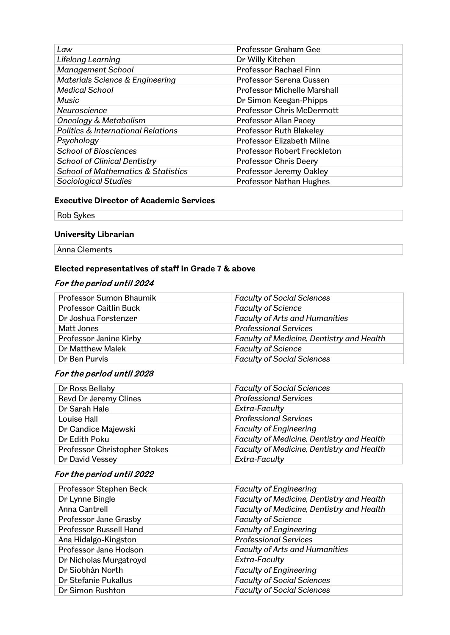| Law                                           | Professor Graham Gee               |
|-----------------------------------------------|------------------------------------|
| Lifelong Learning                             | Dr Willy Kitchen                   |
| <b>Management School</b>                      | Professor Rachael Finn             |
| Materials Science & Engineering               | Professor Serena Cussen            |
| <b>Medical School</b>                         | <b>Professor Michelle Marshall</b> |
| Music                                         | Dr Simon Keegan-Phipps             |
| Neuroscience                                  | <b>Professor Chris McDermott</b>   |
| <b>Oncology &amp; Metabolism</b>              | Professor Allan Pacey              |
| <b>Politics &amp; International Relations</b> | <b>Professor Ruth Blakeley</b>     |
| Psychology                                    | Professor Elizabeth Milne          |
| <b>School of Biosciences</b>                  | Professor Robert Freckleton        |
| <b>School of Clinical Dentistry</b>           | <b>Professor Chris Deery</b>       |
| <b>School of Mathematics &amp; Statistics</b> | Professor Jeremy Oakley            |
| Sociological Studies                          | <b>Professor Nathan Hughes</b>     |

#### **Executive Director of Academic Services**

Rob Sykes

# **University Librarian**

Anna Clements

#### **Elected representatives of staff in Grade 7 & above**

# For the period until 2024

| Professor Sumon Bhaumik       | <b>Faculty of Social Sciences</b>         |
|-------------------------------|-------------------------------------------|
| <b>Professor Caitlin Buck</b> | <b>Faculty of Science</b>                 |
| Dr Joshua Forstenzer          | <b>Faculty of Arts and Humanities</b>     |
| Matt Jones                    | <b>Professional Services</b>              |
| Professor Janine Kirby        | Faculty of Medicine, Dentistry and Health |
| Dr Matthew Malek              | <b>Faculty of Science</b>                 |
| Dr Ben Purvis                 | <b>Faculty of Social Sciences</b>         |

# For the period until 2023

| Dr Ross Bellaby              | <b>Faculty of Social Sciences</b>         |
|------------------------------|-------------------------------------------|
| Revd Dr Jeremy Clines        | <b>Professional Services</b>              |
| Dr Sarah Hale                | Extra-Faculty                             |
| Louise Hall                  | <b>Professional Services</b>              |
| Dr Candice Majewski          | <b>Faculty of Engineering</b>             |
| Dr Edith Poku                | Faculty of Medicine, Dentistry and Health |
| Professor Christopher Stokes | Faculty of Medicine, Dentistry and Health |
| Dr David Vessey              | Extra-Faculty                             |

# For the period until 2022

| Professor Stephen Beck        | <b>Faculty of Engineering</b>             |
|-------------------------------|-------------------------------------------|
| Dr Lynne Bingle               | Faculty of Medicine, Dentistry and Health |
| Anna Cantrell                 | Faculty of Medicine, Dentistry and Health |
| Professor Jane Grasby         | <b>Faculty of Science</b>                 |
| <b>Professor Russell Hand</b> | <b>Faculty of Engineering</b>             |
| Ana Hidalgo-Kingston          | <b>Professional Services</b>              |
| Professor Jane Hodson         | <b>Faculty of Arts and Humanities</b>     |
| Dr Nicholas Murgatroyd        | Extra-Faculty                             |
| Dr Siobhán North              | <b>Faculty of Engineering</b>             |
| Dr Stefanie Pukallus          | <b>Faculty of Social Sciences</b>         |
| Dr Simon Rushton              | <b>Faculty of Social Sciences</b>         |